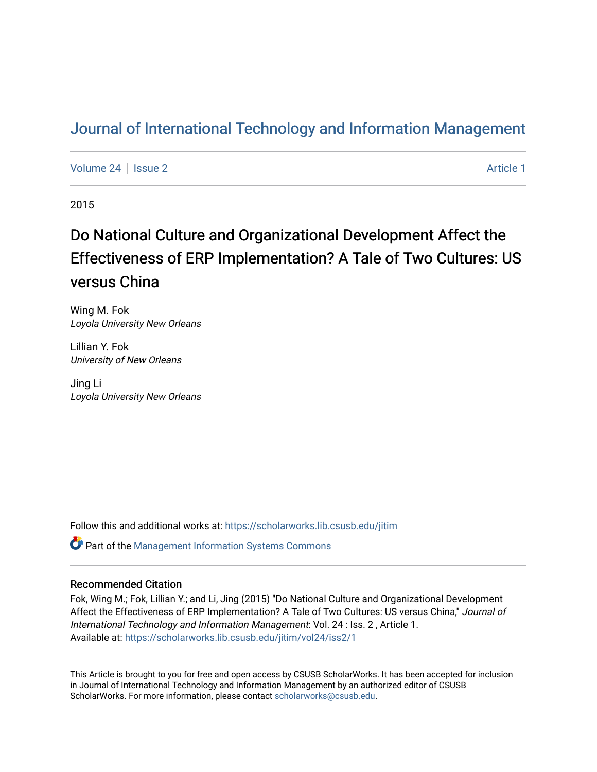# [Journal of International Technology and Information Management](https://scholarworks.lib.csusb.edu/jitim)

[Volume 24](https://scholarworks.lib.csusb.edu/jitim/vol24) | [Issue 2](https://scholarworks.lib.csusb.edu/jitim/vol24/iss2) Article 1

2015

# Do National Culture and Organizational Development Affect the Effectiveness of ERP Implementation? A Tale of Two Cultures: US versus China

Wing M. Fok Loyola University New Orleans

Lillian Y. Fok University of New Orleans

Jing Li Loyola University New Orleans

Follow this and additional works at: [https://scholarworks.lib.csusb.edu/jitim](https://scholarworks.lib.csusb.edu/jitim?utm_source=scholarworks.lib.csusb.edu%2Fjitim%2Fvol24%2Fiss2%2F1&utm_medium=PDF&utm_campaign=PDFCoverPages) 

Part of the [Management Information Systems Commons](http://network.bepress.com/hgg/discipline/636?utm_source=scholarworks.lib.csusb.edu%2Fjitim%2Fvol24%2Fiss2%2F1&utm_medium=PDF&utm_campaign=PDFCoverPages) 

#### Recommended Citation

Fok, Wing M.; Fok, Lillian Y.; and Li, Jing (2015) "Do National Culture and Organizational Development Affect the Effectiveness of ERP Implementation? A Tale of Two Cultures: US versus China," Journal of International Technology and Information Management: Vol. 24 : Iss. 2 , Article 1. Available at: [https://scholarworks.lib.csusb.edu/jitim/vol24/iss2/1](https://scholarworks.lib.csusb.edu/jitim/vol24/iss2/1?utm_source=scholarworks.lib.csusb.edu%2Fjitim%2Fvol24%2Fiss2%2F1&utm_medium=PDF&utm_campaign=PDFCoverPages) 

This Article is brought to you for free and open access by CSUSB ScholarWorks. It has been accepted for inclusion in Journal of International Technology and Information Management by an authorized editor of CSUSB ScholarWorks. For more information, please contact [scholarworks@csusb.edu.](mailto:scholarworks@csusb.edu)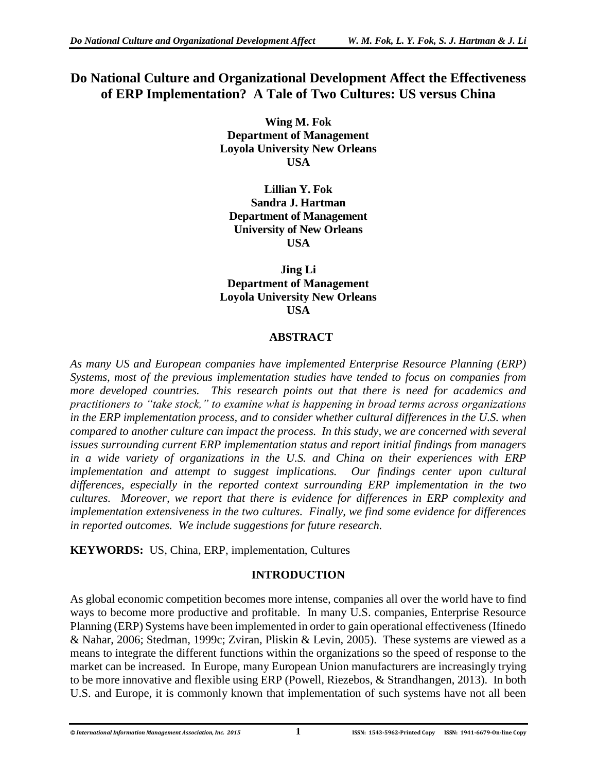# **Do National Culture and Organizational Development Affect the Effectiveness of ERP Implementation? A Tale of Two Cultures: US versus China**

**Wing M. Fok Department of Management Loyola University New Orleans USA**

**Lillian Y. Fok Sandra J. Hartman Department of Management University of New Orleans USA**

**Jing Li Department of Management Loyola University New Orleans USA**

# **ABSTRACT**

*As many US and European companies have implemented Enterprise Resource Planning (ERP) Systems, most of the previous implementation studies have tended to focus on companies from more developed countries. This research points out that there is need for academics and practitioners to "take stock," to examine what is happening in broad terms across organizations*  in the ERP implementation process, and to consider whether cultural differences in the U.S. when *compared to another culture can impact the process. In this study, we are concerned with several issues surrounding current ERP implementation status and report initial findings from managers in a wide variety of organizations in the U.S. and China on their experiences with ERP implementation and attempt to suggest implications. Our findings center upon cultural differences, especially in the reported context surrounding ERP implementation in the two cultures. Moreover, we report that there is evidence for differences in ERP complexity and implementation extensiveness in the two cultures. Finally, we find some evidence for differences in reported outcomes. We include suggestions for future research.* 

**KEYWORDS:** US, China, ERP, implementation, Cultures

# **INTRODUCTION**

As global economic competition becomes more intense, companies all over the world have to find ways to become more productive and profitable. In many U.S. companies, Enterprise Resource Planning (ERP) Systems have been implemented in order to gain operational effectiveness (Ifinedo & Nahar, 2006; Stedman, 1999c; Zviran, Pliskin & Levin, 2005). These systems are viewed as a means to integrate the different functions within the organizations so the speed of response to the market can be increased. In Europe, many European Union manufacturers are increasingly trying to be more innovative and flexible using ERP (Powell, Riezebos, & Strandhangen, 2013). In both U.S. and Europe, it is commonly known that implementation of such systems have not all been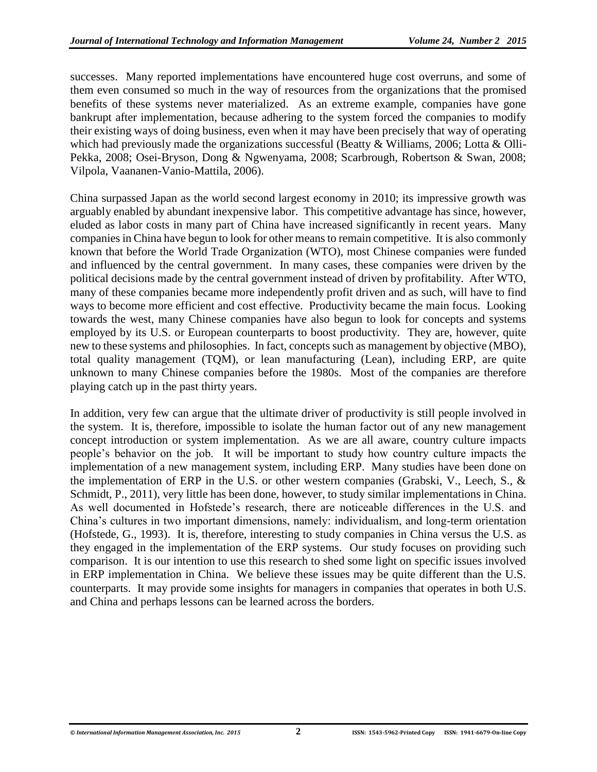successes. Many reported implementations have encountered huge cost overruns, and some of them even consumed so much in the way of resources from the organizations that the promised benefits of these systems never materialized. As an extreme example, companies have gone bankrupt after implementation, because adhering to the system forced the companies to modify their existing ways of doing business, even when it may have been precisely that way of operating which had previously made the organizations successful (Beatty & Williams, 2006; Lotta & Olli-Pekka, 2008; Osei-Bryson, Dong & Ngwenyama, 2008; Scarbrough, Robertson & Swan, 2008; Vilpola, Vaananen-Vanio-Mattila, 2006).

China surpassed Japan as the world second largest economy in 2010; its impressive growth was arguably enabled by abundant inexpensive labor. This competitive advantage has since, however, eluded as labor costs in many part of China have increased significantly in recent years. Many companies in China have begun to look for other means to remain competitive. It is also commonly known that before the World Trade Organization (WTO), most Chinese companies were funded and influenced by the central government. In many cases, these companies were driven by the political decisions made by the central government instead of driven by profitability. After WTO, many of these companies became more independently profit driven and as such, will have to find ways to become more efficient and cost effective. Productivity became the main focus. Looking towards the west, many Chinese companies have also begun to look for concepts and systems employed by its U.S. or European counterparts to boost productivity. They are, however, quite new to these systems and philosophies. In fact, concepts such as management by objective (MBO), total quality management (TQM), or lean manufacturing (Lean), including ERP, are quite unknown to many Chinese companies before the 1980s. Most of the companies are therefore playing catch up in the past thirty years.

In addition, very few can argue that the ultimate driver of productivity is still people involved in the system. It is, therefore, impossible to isolate the human factor out of any new management concept introduction or system implementation. As we are all aware, country culture impacts people's behavior on the job. It will be important to study how country culture impacts the implementation of a new management system, including ERP. Many studies have been done on the implementation of ERP in the U.S. or other western companies (Grabski, V., Leech, S., & Schmidt, P., 2011), very little has been done, however, to study similar implementations in China. As well documented in Hofstede's research, there are noticeable differences in the U.S. and China's cultures in two important dimensions, namely: individualism, and long-term orientation (Hofstede, G., 1993). It is, therefore, interesting to study companies in China versus the U.S. as they engaged in the implementation of the ERP systems. Our study focuses on providing such comparison. It is our intention to use this research to shed some light on specific issues involved in ERP implementation in China. We believe these issues may be quite different than the U.S. counterparts. It may provide some insights for managers in companies that operates in both U.S. and China and perhaps lessons can be learned across the borders.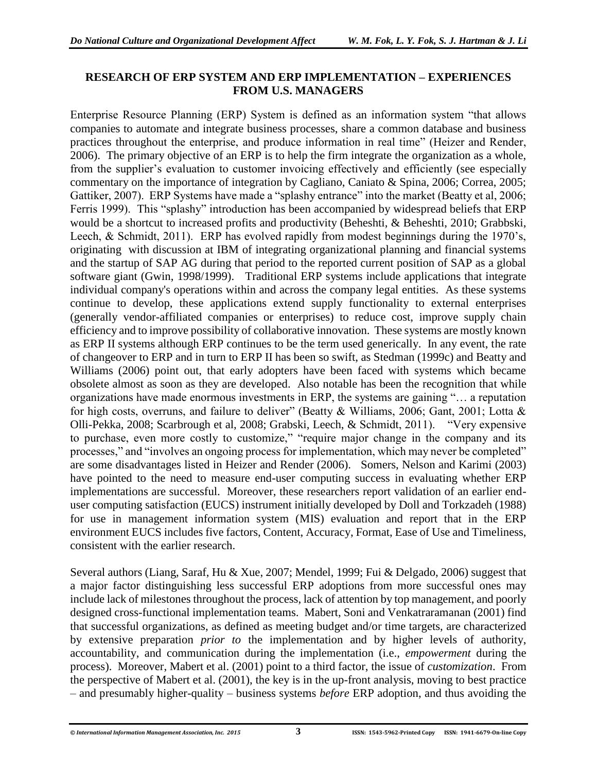#### **RESEARCH OF ERP SYSTEM AND ERP IMPLEMENTATION – EXPERIENCES FROM U.S. MANAGERS**

Enterprise Resource Planning (ERP) System is defined as an information system "that allows companies to automate and integrate business processes, share a common database and business practices throughout the enterprise, and produce information in real time" (Heizer and Render, 2006). The primary objective of an ERP is to help the firm integrate the organization as a whole, from the supplier's evaluation to customer invoicing effectively and efficiently (see especially commentary on the importance of integration by Cagliano, Caniato & Spina, 2006; Correa, 2005; Gattiker, 2007). ERP Systems have made a "splashy entrance" into the market (Beatty et al, 2006; Ferris 1999). This "splashy" introduction has been accompanied by widespread beliefs that ERP would be a shortcut to increased profits and productivity (Beheshti, & Beheshti, 2010; Grabbski, Leech, & Schmidt, 2011). ERP has evolved rapidly from modest beginnings during the 1970's, originating with discussion at IBM of integrating organizational planning and financial systems and the startup of SAP AG during that period to the reported current position of SAP as a global software giant (Gwin, 1998/1999). Traditional ERP systems include applications that integrate individual company's operations within and across the company legal entities. As these systems continue to develop, these applications extend supply functionality to external enterprises (generally vendor-affiliated companies or enterprises) to reduce cost, improve supply chain efficiency and to improve possibility of collaborative innovation. These systems are mostly known as ERP II systems although ERP continues to be the term used generically. In any event, the rate of changeover to ERP and in turn to ERP II has been so swift, as Stedman (1999c) and Beatty and Williams (2006) point out, that early adopters have been faced with systems which became obsolete almost as soon as they are developed. Also notable has been the recognition that while organizations have made enormous investments in ERP, the systems are gaining "… a reputation for high costs, overruns, and failure to deliver" (Beatty & Williams, 2006; Gant, 2001; Lotta & Olli-Pekka, 2008; Scarbrough et al, 2008; Grabski, Leech, & Schmidt, 2011). "Very expensive to purchase, even more costly to customize," "require major change in the company and its processes," and "involves an ongoing process for implementation, which may never be completed" are some disadvantages listed in Heizer and Render (2006). Somers, Nelson and Karimi (2003) have pointed to the need to measure end-user computing success in evaluating whether ERP implementations are successful. Moreover, these researchers report validation of an earlier enduser computing satisfaction (EUCS) instrument initially developed by Doll and Torkzadeh (1988) for use in management information system (MIS) evaluation and report that in the ERP environment EUCS includes five factors, Content, Accuracy, Format, Ease of Use and Timeliness, consistent with the earlier research.

Several authors (Liang, Saraf, Hu & Xue, 2007; Mendel, 1999; Fui & Delgado, 2006) suggest that a major factor distinguishing less successful ERP adoptions from more successful ones may include lack of milestones throughout the process, lack of attention by top management, and poorly designed cross-functional implementation teams. Mabert, Soni and Venkatraramanan (2001) find that successful organizations, as defined as meeting budget and/or time targets, are characterized by extensive preparation *prior to* the implementation and by higher levels of authority, accountability, and communication during the implementation (i.e., *empowerment* during the process). Moreover, Mabert et al. (2001) point to a third factor, the issue of *customization*. From the perspective of Mabert et al. (2001), the key is in the up-front analysis, moving to best practice – and presumably higher-quality – business systems *before* ERP adoption, and thus avoiding the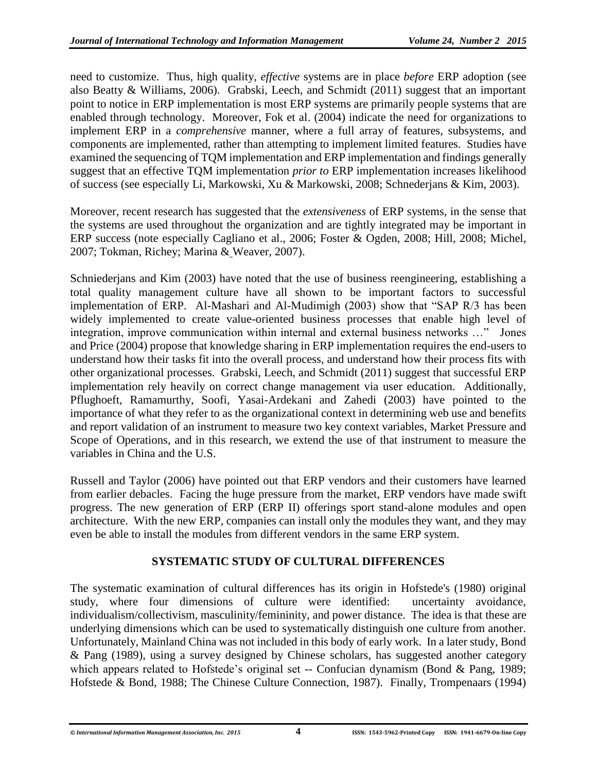need to customize. Thus, high quality, *effective* systems are in place *before* ERP adoption (see also Beatty & Williams, 2006). Grabski, Leech, and Schmidt (2011) suggest that an important point to notice in ERP implementation is most ERP systems are primarily people systems that are enabled through technology. Moreover, Fok et al. (2004) indicate the need for organizations to implement ERP in a *comprehensive* manner, where a full array of features, subsystems, and components are implemented, rather than attempting to implement limited features. Studies have examined the sequencing of TQM implementation and ERP implementation and findings generally suggest that an effective TQM implementation *prior to* ERP implementation increases likelihood of success (see especially Li, Markowski, Xu & Markowski, 2008; Schnederjans & Kim, 2003).

Moreover, recent research has suggested that the *extensiveness* of ERP systems, in the sense that the systems are used throughout the organization and are tightly integrated may be important in ERP success (note especially Cagliano et al., 2006; Foster & Ogden, 2008; Hill, 2008; Michel, 2007; Tokman, Richey; Marina & Weaver, 2007).

Schniederjans and Kim (2003) have noted that the use of business reengineering, establishing a total quality management culture have all shown to be important factors to successful implementation of ERP. Al-Mashari and Al-Mudimigh (2003) show that "SAP R/3 has been widely implemented to create value-oriented business processes that enable high level of integration, improve communication within internal and external business networks …" Jones and Price (2004) propose that knowledge sharing in ERP implementation requires the end-users to understand how their tasks fit into the overall process, and understand how their process fits with other organizational processes. Grabski, Leech, and Schmidt (2011) suggest that successful ERP implementation rely heavily on correct change management via user education. Additionally, Pflughoeft, Ramamurthy, Soofi, Yasai-Ardekani and Zahedi (2003) have pointed to the importance of what they refer to as the organizational context in determining web use and benefits and report validation of an instrument to measure two key context variables, Market Pressure and Scope of Operations, and in this research, we extend the use of that instrument to measure the variables in China and the U.S.

Russell and Taylor (2006) have pointed out that ERP vendors and their customers have learned from earlier debacles. Facing the huge pressure from the market, ERP vendors have made swift progress. The new generation of ERP (ERP II) offerings sport stand-alone modules and open architecture. With the new ERP, companies can install only the modules they want, and they may even be able to install the modules from different vendors in the same ERP system.

# **SYSTEMATIC STUDY OF CULTURAL DIFFERENCES**

The systematic examination of cultural differences has its origin in Hofstede's (1980) original study, where four dimensions of culture were identified: uncertainty avoidance, individualism/collectivism, masculinity/femininity, and power distance. The idea is that these are underlying dimensions which can be used to systematically distinguish one culture from another. Unfortunately, Mainland China was not included in this body of early work. In a later study, Bond & Pang (1989), using a survey designed by Chinese scholars, has suggested another category which appears related to Hofstede's original set -- Confucian dynamism (Bond & Pang, 1989; Hofstede & Bond, 1988; The Chinese Culture Connection, 1987). Finally, Trompenaars (1994)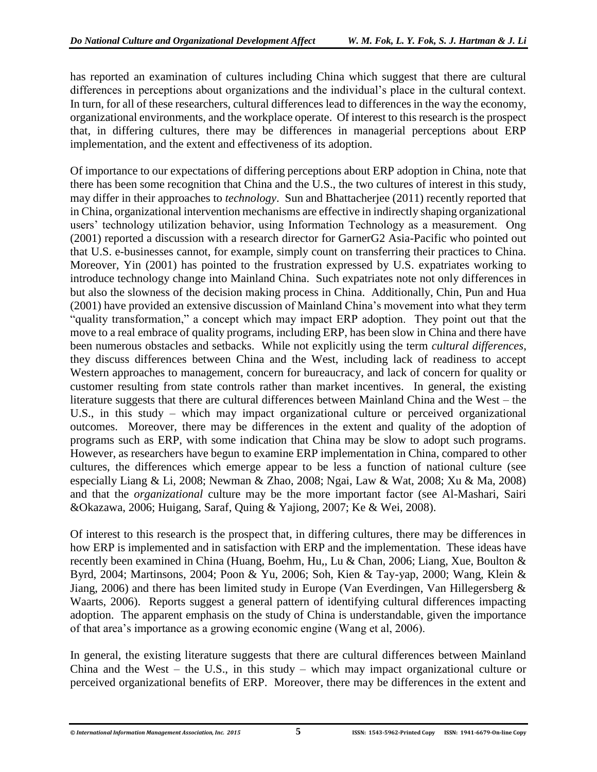has reported an examination of cultures including China which suggest that there are cultural differences in perceptions about organizations and the individual's place in the cultural context. In turn, for all of these researchers, cultural differences lead to differences in the way the economy, organizational environments, and the workplace operate. Of interest to this research is the prospect that, in differing cultures, there may be differences in managerial perceptions about ERP implementation, and the extent and effectiveness of its adoption.

Of importance to our expectations of differing perceptions about ERP adoption in China, note that there has been some recognition that China and the U.S., the two cultures of interest in this study, may differ in their approaches to *technology*. Sun and Bhattacherjee (2011) recently reported that in China, organizational intervention mechanisms are effective in indirectly shaping organizational users' technology utilization behavior, using Information Technology as a measurement. Ong (2001) reported a discussion with a research director for GarnerG2 Asia-Pacific who pointed out that U.S. e-businesses cannot, for example, simply count on transferring their practices to China. Moreover, Yin (2001) has pointed to the frustration expressed by U.S. expatriates working to introduce technology change into Mainland China. Such expatriates note not only differences in but also the slowness of the decision making process in China. Additionally, Chin, Pun and Hua (2001) have provided an extensive discussion of Mainland China's movement into what they term "quality transformation," a concept which may impact ERP adoption. They point out that the move to a real embrace of quality programs, including ERP, has been slow in China and there have been numerous obstacles and setbacks. While not explicitly using the term *cultural differences*, they discuss differences between China and the West, including lack of readiness to accept Western approaches to management, concern for bureaucracy, and lack of concern for quality or customer resulting from state controls rather than market incentives. In general, the existing literature suggests that there are cultural differences between Mainland China and the West – the U.S., in this study – which may impact organizational culture or perceived organizational outcomes. Moreover, there may be differences in the extent and quality of the adoption of programs such as ERP, with some indication that China may be slow to adopt such programs. However, as researchers have begun to examine ERP implementation in China, compared to other cultures, the differences which emerge appear to be less a function of national culture (see especially Liang & Li, 2008; Newman & Zhao, 2008; Ngai, Law & Wat, 2008; Xu & Ma, 2008) and that the *organizational* culture may be the more important factor (see Al-Mashari, Sairi &Okazawa, 2006; Huigang, Saraf, Quing & Yajiong, 2007; Ke & Wei, 2008).

Of interest to this research is the prospect that, in differing cultures, there may be differences in how ERP is implemented and in satisfaction with ERP and the implementation. These ideas have recently been examined in China (Huang, Boehm, Hu,, Lu & Chan, 2006; Liang, Xue, Boulton & Byrd, 2004; Martinsons, 2004; Poon & Yu, 2006; Soh, Kien & Tay-yap, 2000; Wang, Klein & Jiang, 2006) and there has been limited study in Europe (Van Everdingen, Van Hillegersberg & Waarts, 2006). Reports suggest a general pattern of identifying cultural differences impacting adoption. The apparent emphasis on the study of China is understandable, given the importance of that area's importance as a growing economic engine (Wang et al, 2006).

In general, the existing literature suggests that there are cultural differences between Mainland China and the West – the U.S., in this study – which may impact organizational culture or perceived organizational benefits of ERP. Moreover, there may be differences in the extent and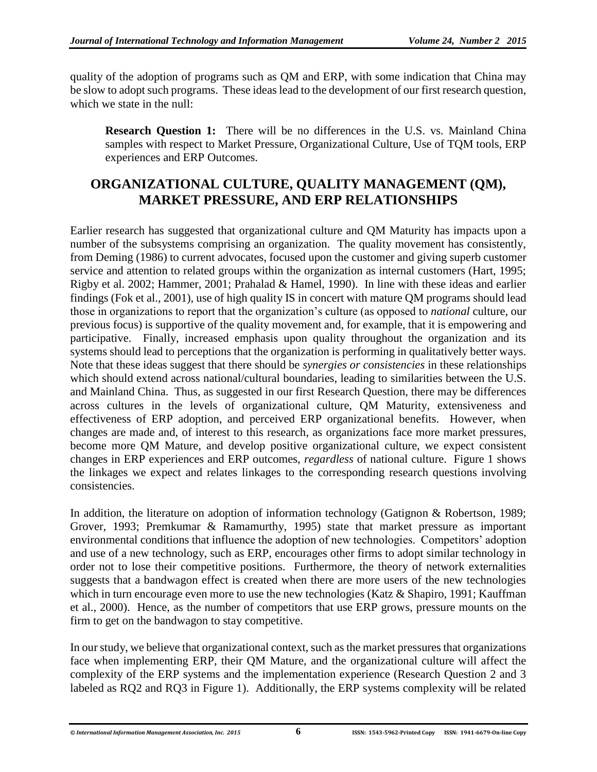quality of the adoption of programs such as QM and ERP, with some indication that China may be slow to adopt such programs. These ideas lead to the development of our first research question, which we state in the null:

**Research Question 1:** There will be no differences in the U.S. vs. Mainland China samples with respect to Market Pressure, Organizational Culture, Use of TQM tools, ERP experiences and ERP Outcomes.

# **ORGANIZATIONAL CULTURE, QUALITY MANAGEMENT (QM), MARKET PRESSURE, AND ERP RELATIONSHIPS**

Earlier research has suggested that organizational culture and QM Maturity has impacts upon a number of the subsystems comprising an organization. The quality movement has consistently, from Deming (1986) to current advocates, focused upon the customer and giving superb customer service and attention to related groups within the organization as internal customers (Hart, 1995; Rigby et al. 2002; Hammer, 2001; Prahalad & Hamel, 1990). In line with these ideas and earlier findings (Fok et al., 2001), use of high quality IS in concert with mature QM programs should lead those in organizations to report that the organization's culture (as opposed to *national* culture, our previous focus) is supportive of the quality movement and, for example, that it is empowering and participative. Finally, increased emphasis upon quality throughout the organization and its systems should lead to perceptions that the organization is performing in qualitatively better ways. Note that these ideas suggest that there should be *synergies or consistencies* in these relationships which should extend across national/cultural boundaries, leading to similarities between the U.S. and Mainland China. Thus, as suggested in our first Research Question, there may be differences across cultures in the levels of organizational culture, QM Maturity, extensiveness and effectiveness of ERP adoption, and perceived ERP organizational benefits. However, when changes are made and, of interest to this research, as organizations face more market pressures, become more QM Mature, and develop positive organizational culture, we expect consistent changes in ERP experiences and ERP outcomes, *regardless* of national culture. Figure 1 shows the linkages we expect and relates linkages to the corresponding research questions involving consistencies.

In addition, the literature on adoption of information technology (Gatignon & Robertson, 1989; Grover, 1993; Premkumar & Ramamurthy, 1995) state that market pressure as important environmental conditions that influence the adoption of new technologies. Competitors' adoption and use of a new technology, such as ERP, encourages other firms to adopt similar technology in order not to lose their competitive positions. Furthermore, the theory of network externalities suggests that a bandwagon effect is created when there are more users of the new technologies which in turn encourage even more to use the new technologies (Katz & Shapiro, 1991; Kauffman et al., 2000). Hence, as the number of competitors that use ERP grows, pressure mounts on the firm to get on the bandwagon to stay competitive.

In our study, we believe that organizational context, such as the market pressures that organizations face when implementing ERP, their QM Mature, and the organizational culture will affect the complexity of the ERP systems and the implementation experience (Research Question 2 and 3 labeled as RQ2 and RQ3 in Figure 1). Additionally, the ERP systems complexity will be related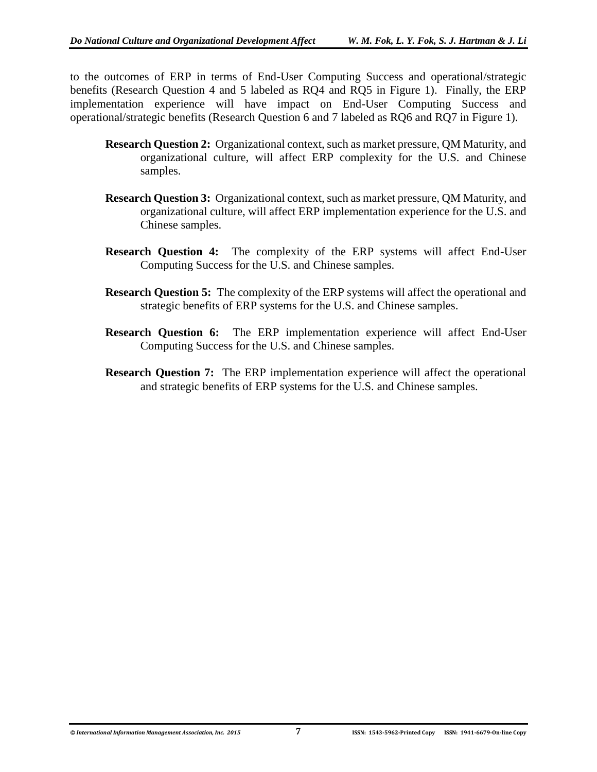to the outcomes of ERP in terms of End-User Computing Success and operational/strategic benefits (Research Question 4 and 5 labeled as RQ4 and RQ5 in Figure 1). Finally, the ERP implementation experience will have impact on End-User Computing Success and operational/strategic benefits (Research Question 6 and 7 labeled as RQ6 and RQ7 in Figure 1).

- **Research Question 2:** Organizational context, such as market pressure, QM Maturity, and organizational culture, will affect ERP complexity for the U.S. and Chinese samples.
- **Research Question 3:** Organizational context, such as market pressure, QM Maturity, and organizational culture, will affect ERP implementation experience for the U.S. and Chinese samples.
- **Research Question 4:** The complexity of the ERP systems will affect End-User Computing Success for the U.S. and Chinese samples.
- **Research Question 5:** The complexity of the ERP systems will affect the operational and strategic benefits of ERP systems for the U.S. and Chinese samples.
- **Research Question 6:** The ERP implementation experience will affect End-User Computing Success for the U.S. and Chinese samples.
- **Research Question 7:** The ERP implementation experience will affect the operational and strategic benefits of ERP systems for the U.S. and Chinese samples.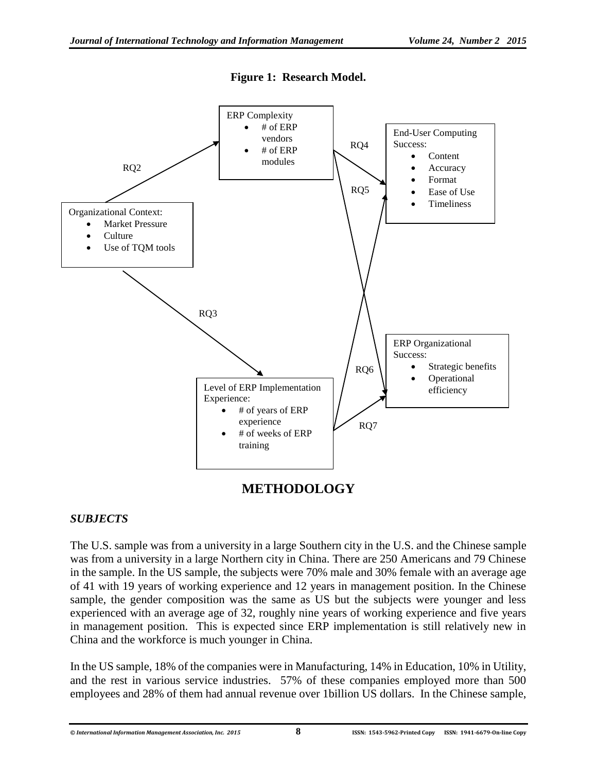

**Figure 1: Research Model.**

**METHODOLOGY**

# *SUBJECTS*

The U.S. sample was from a university in a large Southern city in the U.S. and the Chinese sample was from a university in a large Northern city in China. There are 250 Americans and 79 Chinese in the sample. In the US sample, the subjects were 70% male and 30% female with an average age of 41 with 19 years of working experience and 12 years in management position. In the Chinese sample, the gender composition was the same as US but the subjects were younger and less experienced with an average age of 32, roughly nine years of working experience and five years in management position. This is expected since ERP implementation is still relatively new in China and the workforce is much younger in China.

In the US sample, 18% of the companies were in Manufacturing, 14% in Education, 10% in Utility, and the rest in various service industries. 57% of these companies employed more than 500 employees and 28% of them had annual revenue over 1billion US dollars. In the Chinese sample,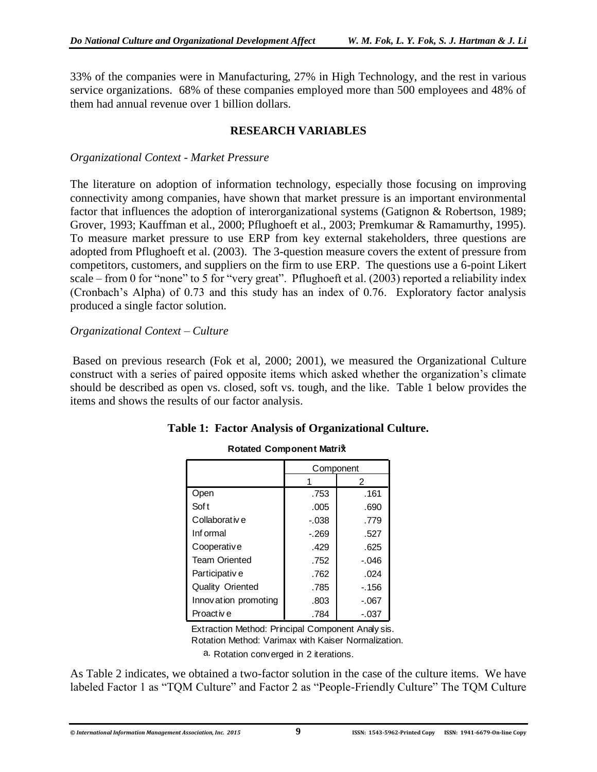33% of the companies were in Manufacturing, 27% in High Technology, and the rest in various service organizations. 68% of these companies employed more than 500 employees and 48% of them had annual revenue over 1 billion dollars.

#### **RESEARCH VARIABLES**

#### *Organizational Context - Market Pressure*

The literature on adoption of information technology, especially those focusing on improving connectivity among companies, have shown that market pressure is an important environmental factor that influences the adoption of interorganizational systems (Gatignon & Robertson, 1989; Grover, 1993; Kauffman et al., 2000; Pflughoeft et al., 2003; Premkumar & Ramamurthy, 1995). To measure market pressure to use ERP from key external stakeholders, three questions are adopted from Pflughoeft et al. (2003). The 3-question measure covers the extent of pressure from competitors, customers, and suppliers on the firm to use ERP. The questions use a 6-point Likert scale – from 0 for "none" to 5 for "very great". Pflughoeft et al. (2003) reported a reliability index (Cronbach's Alpha) of 0.73 and this study has an index of 0.76. Exploratory factor analysis produced a single factor solution.

#### *Organizational Context – Culture*

Based on previous research (Fok et al, 2000; 2001), we measured the Organizational Culture construct with a series of paired opposite items which asked whether the organization's climate should be described as open vs. closed, soft vs. tough, and the like. Table 1 below provides the items and shows the results of our factor analysis.

|                         | Component |         |  |
|-------------------------|-----------|---------|--|
|                         |           | 2       |  |
| Open                    | .753      | .161    |  |
| Sof t                   | .005      | .690    |  |
| Collaborativ e          | $-0.038$  | .779    |  |
| Inf ormal               | $-269$    | .527    |  |
| Cooperative             | .429      | .625    |  |
| <b>Team Oriented</b>    | .752      | $-.046$ |  |
| Participativ e          | .762      | .024    |  |
| <b>Quality Oriented</b> | .785      | $-156$  |  |
| Innovation promoting    | .803      | $-067$  |  |
| Proactiv e              | .784      | -.037   |  |

# **Table 1: Factor Analysis of Organizational Culture.**

**Rotated Component Matrix<sup>a</sup>**

Extraction Method: Principal Component Analy sis.

Rotation Method: Varimax with Kaiser Normalization.

a. Rotation converged in 2 iterations.

As Table 2 indicates, we obtained a two-factor solution in the case of the culture items. We have labeled Factor 1 as "TQM Culture" and Factor 2 as "People-Friendly Culture" The TQM Culture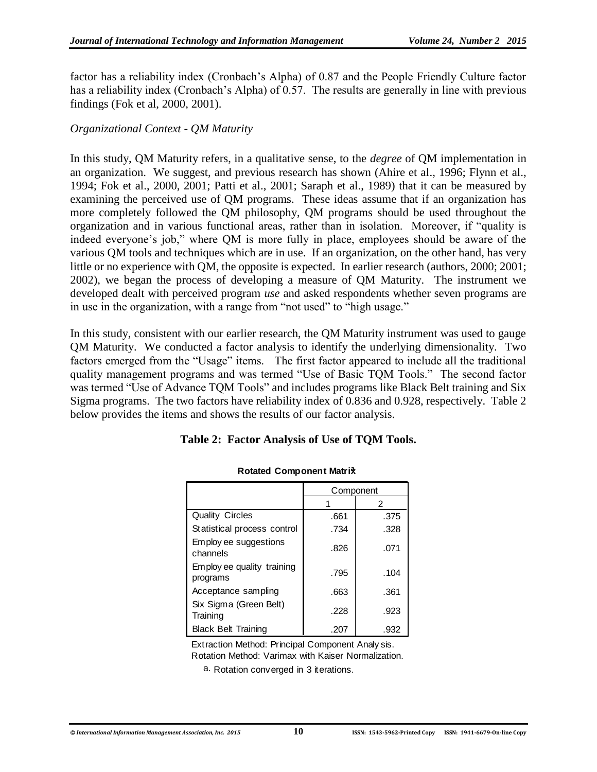factor has a reliability index (Cronbach's Alpha) of 0.87 and the People Friendly Culture factor has a reliability index (Cronbach's Alpha) of 0.57. The results are generally in line with previous findings (Fok et al, 2000, 2001).

#### *Organizational Context - QM Maturity*

In this study, QM Maturity refers, in a qualitative sense, to the *degree* of QM implementation in an organization. We suggest, and previous research has shown (Ahire et al., 1996; Flynn et al., 1994; Fok et al., 2000, 2001; Patti et al., 2001; Saraph et al., 1989) that it can be measured by examining the perceived use of QM programs. These ideas assume that if an organization has more completely followed the QM philosophy, QM programs should be used throughout the organization and in various functional areas, rather than in isolation. Moreover, if "quality is indeed everyone's job," where QM is more fully in place, employees should be aware of the various QM tools and techniques which are in use. If an organization, on the other hand, has very little or no experience with QM, the opposite is expected. In earlier research (authors, 2000; 2001; 2002), we began the process of developing a measure of QM Maturity. The instrument we developed dealt with perceived program *use* and asked respondents whether seven programs are in use in the organization, with a range from "not used" to "high usage."

In this study, consistent with our earlier research, the QM Maturity instrument was used to gauge QM Maturity. We conducted a factor analysis to identify the underlying dimensionality. Two factors emerged from the "Usage" items. The first factor appeared to include all the traditional quality management programs and was termed "Use of Basic TQM Tools." The second factor was termed "Use of Advance TQM Tools" and includes programs like Black Belt training and Six Sigma programs. The two factors have reliability index of 0.836 and 0.928, respectively. Table 2 below provides the items and shows the results of our factor analysis.

|                                        | Component |      |  |
|----------------------------------------|-----------|------|--|
|                                        |           | 2    |  |
| <b>Quality Circles</b>                 | .661      | .375 |  |
| Statistical process control            | .734      | .328 |  |
| Employ ee suggestions<br>channels      | .826      | .071 |  |
| Employ ee quality training<br>programs | .795      | .104 |  |
| Acceptance sampling                    | .663      | .361 |  |
| Six Sigma (Green Belt)<br>Training     | .228      | .923 |  |
| <b>Black Belt Training</b>             | .207      | .932 |  |

# **Table 2: Factor Analysis of Use of TQM Tools.**

**Rotated Component Matrix<sup>a</sup>**

Extraction Method: Principal Component Analy sis. Rotation Method: Varimax with Kaiser Normalization.

a. Rotation converged in 3 iterations.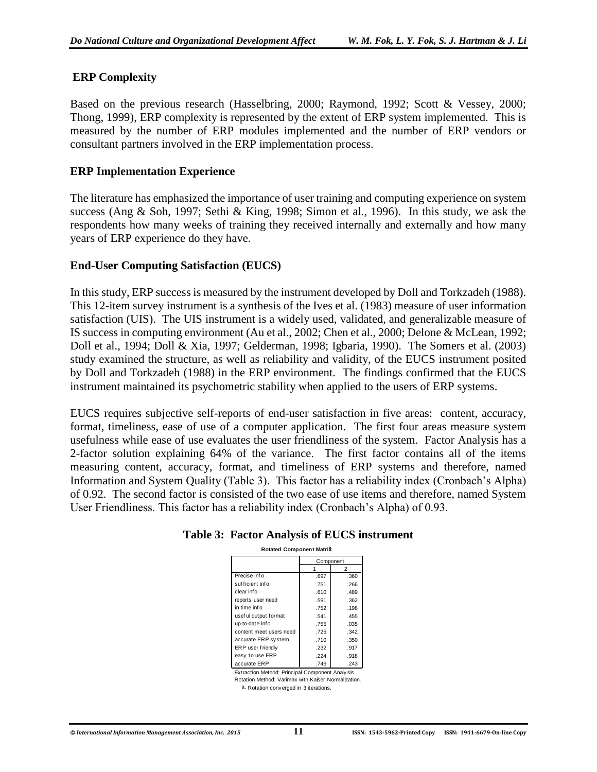# **ERP Complexity**

Based on the previous research (Hasselbring, 2000; Raymond, 1992; Scott & Vessey, 2000; Thong, 1999), ERP complexity is represented by the extent of ERP system implemented. This is measured by the number of ERP modules implemented and the number of ERP vendors or consultant partners involved in the ERP implementation process.

# **ERP Implementation Experience**

The literature has emphasized the importance of user training and computing experience on system success (Ang & Soh, 1997; Sethi & King, 1998; Simon et al., 1996). In this study, we ask the respondents how many weeks of training they received internally and externally and how many years of ERP experience do they have.

# **End-User Computing Satisfaction (EUCS)**

In this study, ERP success is measured by the instrument developed by Doll and Torkzadeh (1988). This 12-item survey instrument is a synthesis of the Ives et al. (1983) measure of user information satisfaction (UIS). The UIS instrument is a widely used, validated, and generalizable measure of IS success in computing environment (Au et al., 2002; Chen et al., 2000; Delone & McLean, 1992; Doll et al., 1994; Doll & Xia, 1997; Gelderman, 1998; Igbaria, 1990). The Somers et al. (2003) study examined the structure, as well as reliability and validity, of the EUCS instrument posited by Doll and Torkzadeh (1988) in the ERP environment. The findings confirmed that the EUCS instrument maintained its psychometric stability when applied to the users of ERP systems.

EUCS requires subjective self-reports of end-user satisfaction in five areas: content, accuracy, format, timeliness, ease of use of a computer application. The first four areas measure system usefulness while ease of use evaluates the user friendliness of the system. Factor Analysis has a 2-factor solution explaining 64% of the variance. The first factor contains all of the items measuring content, accuracy, format, and timeliness of ERP systems and therefore, named Information and System Quality (Table 3). This factor has a reliability index (Cronbach's Alpha) of 0.92. The second factor is consisted of the two ease of use items and therefore, named System User Friendliness. This factor has a reliability index (Cronbach's Alpha) of 0.93.

|                         | Component |      |  |
|-------------------------|-----------|------|--|
|                         |           | 2    |  |
| Precise info            | .697      | .360 |  |
| sufficient info         | .751      | .266 |  |
| clear info              | .610      | .489 |  |
| reports user need       | .591      | .362 |  |
| in time info            | .752      | .198 |  |
| usef ul output format   | .541      | .455 |  |
| up-to-date info         | .755      | .035 |  |
| content meet users need | .725      | .342 |  |
| accurate ERP system     | .710      | .350 |  |
| ERP user friendly       | .232      | .917 |  |
| easy to use ERP         | .224      | .918 |  |
| accurate ERP            | .746      | .243 |  |

#### **Table 3: Factor Analysis of EUCS instrument Rotated Component Matrix<sup>a</sup>**

Extraction Method: Principal Component Analy sis.

Rotation Method: Varimax with Kaiser Normalization.

a. Rotation converged in 3 iterations.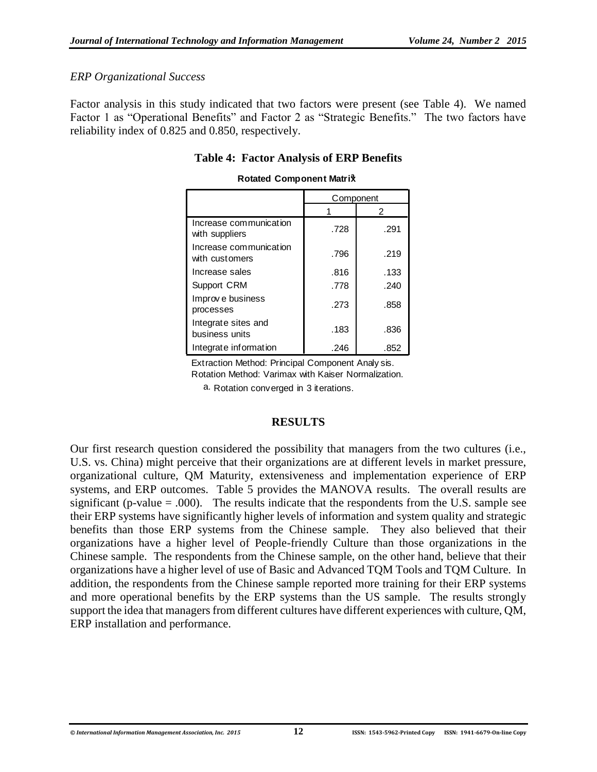#### *ERP Organizational Success*

Factor analysis in this study indicated that two factors were present (see Table 4). We named Factor 1 as "Operational Benefits" and Factor 2 as "Strategic Benefits." The two factors have reliability index of 0.825 and 0.850, respectively.

|                                          | Component |      |  |
|------------------------------------------|-----------|------|--|
|                                          | 2         |      |  |
| Increase communication<br>with suppliers | .728      | .291 |  |
| Increase communication<br>with customers | .796      | .219 |  |
| Increase sales                           | .816      | .133 |  |
| Support CRM                              | .778      | .240 |  |
| Improve business<br>processes            | .273      | .858 |  |
| Integrate sites and<br>business units    | .183      | .836 |  |
| Integrate information                    | .246      | .852 |  |

# **Table 4: Factor Analysis of ERP Benefits**

**Rotated Component Matrix<sup>a</sup>**

Extraction Method: Principal Component Analy sis.

Rotation Method: Varimax with Kaiser Normalization.

a. Rotation converged in 3 iterations.

#### **RESULTS**

Our first research question considered the possibility that managers from the two cultures (i.e., U.S. vs. China) might perceive that their organizations are at different levels in market pressure, organizational culture, QM Maturity, extensiveness and implementation experience of ERP systems, and ERP outcomes. Table 5 provides the MANOVA results. The overall results are significant (p-value  $= .000$ ). The results indicate that the respondents from the U.S. sample see their ERP systems have significantly higher levels of information and system quality and strategic benefits than those ERP systems from the Chinese sample. They also believed that their organizations have a higher level of People-friendly Culture than those organizations in the Chinese sample. The respondents from the Chinese sample, on the other hand, believe that their organizations have a higher level of use of Basic and Advanced TQM Tools and TQM Culture. In addition, the respondents from the Chinese sample reported more training for their ERP systems and more operational benefits by the ERP systems than the US sample. The results strongly support the idea that managers from different cultures have different experiences with culture, QM, ERP installation and performance.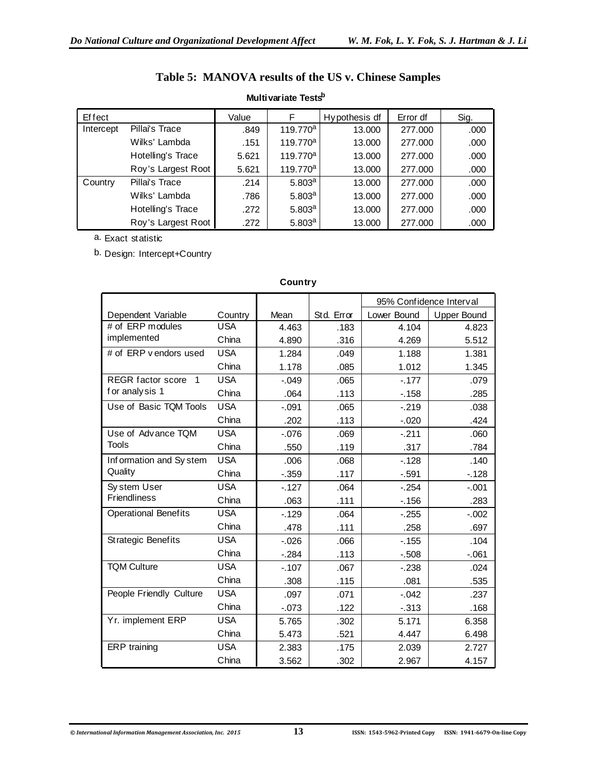#### **Table 5: MANOVA results of the US v. Chinese Samples**

| <b>Table 5: MANOVA results of the US v. Chinese Samples</b> |                    |       |                      |        |         |      |  |
|-------------------------------------------------------------|--------------------|-------|----------------------|--------|---------|------|--|
| Multi variate Tests <sup>b</sup>                            |                    |       |                      |        |         |      |  |
| Effect<br>Value<br>Hypothesis df<br>F<br>Error df<br>Sig.   |                    |       |                      |        |         |      |  |
| Intercept                                                   | Pillai's Trace     | .849  | 119.770 <sup>a</sup> | 13.000 | 277.000 | .000 |  |
|                                                             | Wilks' Lambda      | .151  | 119.770 <sup>a</sup> | 13.000 | 277,000 | .000 |  |
|                                                             | Hotelling's Trace  | 5.621 | 119.770 <sup>a</sup> | 13.000 | 277,000 | .000 |  |
|                                                             | Roy's Largest Root | 5.621 | $119.770^a$          | 13.000 | 277,000 | .000 |  |
| Country                                                     | Pillai's Trace     | .214  | 5.803 <sup>a</sup>   | 13.000 | 277,000 | .000 |  |
|                                                             | Wilks' Lambda      | .786  | 5.803 <sup>a</sup>   | 13.000 | 277,000 | .000 |  |
|                                                             | Hotelling's Trace  | .272  | 5.803 <sup>a</sup>   | 13.000 | 277,000 | .000 |  |
|                                                             | Roy's Largest Root | .272  | 5.803 <sup>a</sup>   | 13.000 | 277,000 | .000 |  |

#### **Multivariate Tests<sup>b</sup>**

a. Exact statistic

b. Design: Intercept+Country

#### 4.463 .183 4.104 4.823 4.890 .316 4.269 5.512  $1.284$  .049  $1.188$  1.188  $1.381$ 1.178 .085 1.012 1.345  $-049$  .065  $-177$  .079 .064 .113 .064 .285  $-0.091$  .065  $-0.219$  .038 .202 .113 -.020 .424 -.076 .069 -.211 .060 .550 .119 .317 .784 .006 .068 .068 .006 .128 .140 -.359 | .117 | -.591 | .128 -.127 | .064 | -.254 | -.127 | .063 .111 .156 .283  $-.129$  .064  $-.255$   $-.002$ .478 .111 .258 .697 -.026 | .066 | .026 | .026 |  $-.284$  .113  $-.508$   $-.061$  $-.107$  .067 .067 .238 .024 .308 .308 .115 .081 .535 .097 .071 -.042 .237 -.073 | 122 | -.313 | .168  $5.765$  .302 .302 .5.171 6.358 5.473 .521 4.447 6.498 2.383 175 2.039 2.727  $3.562$   $302$   $2.967$   $4.157$ **Country** USA China USA China USA China USA China USA **China** USA China USA **China** USA China USA China USA China USA China USA China USA China Dependent Variable **Dependent Variabler<br># of ERP modules**<br>implemented implemented # of ERP modules<br>implemented<br># of ERP v endors used REGR factor score 1 # of ERP ven<br>REGR factor<br>for analysis 1 Use of Basic TQM Tools Use of Advance TQM Tools Use of Advance TQM<br>Tools<br>Inf ormation and Sy stem<br>Ouality **Quality** Information<br>a Quality<br>Sy stem User<br>Friendliness **Friendliness** Operational Benefits Strategic Benefits TQM Culture People Friendly Culture Yr. implement ERP ERP training Mean | Std. Error | Lower Bound | Upper Bound 95% Confidence Interval

# **Country**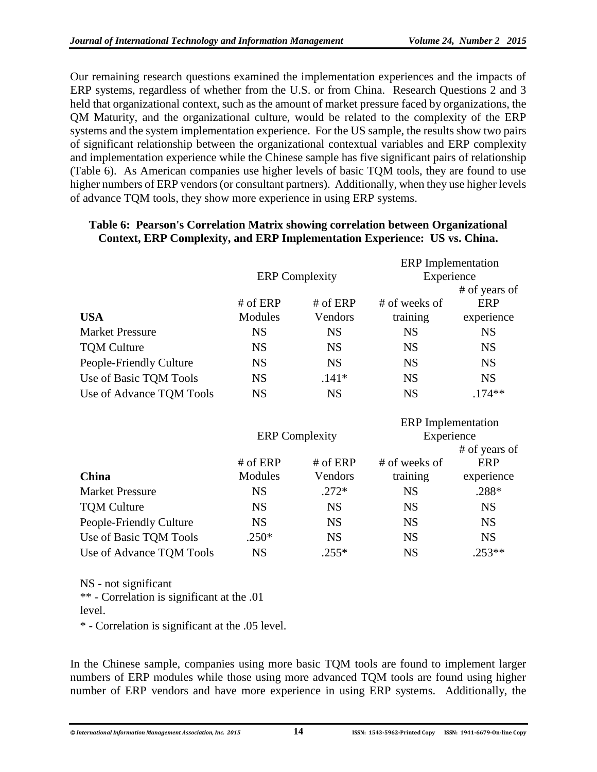Our remaining research questions examined the implementation experiences and the impacts of ERP systems, regardless of whether from the U.S. or from China. Research Questions 2 and 3 held that organizational context, such as the amount of market pressure faced by organizations, the QM Maturity, and the organizational culture, would be related to the complexity of the ERP systems and the system implementation experience. For the US sample, the results show two pairs of significant relationship between the organizational contextual variables and ERP complexity and implementation experience while the Chinese sample has five significant pairs of relationship (Table 6). As American companies use higher levels of basic TQM tools, they are found to use higher numbers of ERP vendors (or consultant partners). Additionally, when they use higher levels of advance TQM tools, they show more experience in using ERP systems.

#### **Table 6: Pearson's Correlation Matrix showing correlation between Organizational Context, ERP Complexity, and ERP Implementation Experience: US vs. China.**

|                                                                    |                       |           | <b>ERP</b> Implementation |               |
|--------------------------------------------------------------------|-----------------------|-----------|---------------------------|---------------|
|                                                                    | <b>ERP</b> Complexity |           | Experience                |               |
|                                                                    |                       |           |                           | # of years of |
|                                                                    | # of ERP              | # of ERP  | # of weeks of             | <b>ERP</b>    |
| <b>USA</b>                                                         | Modules               | Vendors   | training                  | experience    |
| <b>Market Pressure</b>                                             | <b>NS</b>             | <b>NS</b> | <b>NS</b>                 | <b>NS</b>     |
| <b>TQM Culture</b>                                                 | <b>NS</b>             | <b>NS</b> | <b>NS</b>                 | <b>NS</b>     |
| People-Friendly Culture                                            | <b>NS</b>             | <b>NS</b> | <b>NS</b>                 | <b>NS</b>     |
| Use of Basic TQM Tools                                             | <b>NS</b>             | $.141*$   | <b>NS</b>                 | <b>NS</b>     |
| Use of Advance TQM Tools                                           | <b>NS</b>             | <b>NS</b> | <b>NS</b>                 | $.174**$      |
|                                                                    |                       |           | <b>ERP</b> Implementation |               |
|                                                                    | <b>ERP</b> Complexity |           | Experience                |               |
|                                                                    |                       |           |                           | # of years of |
|                                                                    | # of ERP              | # of ERP  | # of weeks of             | <b>ERP</b>    |
| <b>China</b>                                                       | Modules               | Vendors   | training                  | experience    |
| <b>Market Pressure</b>                                             | <b>NS</b>             | $.272*$   | <b>NS</b>                 | .288*         |
| <b>TQM Culture</b>                                                 | <b>NS</b>             | <b>NS</b> | <b>NS</b>                 | <b>NS</b>     |
| People-Friendly Culture                                            | <b>NS</b>             | <b>NS</b> | <b>NS</b>                 | <b>NS</b>     |
| Use of Basic TQM Tools                                             | $.250*$               | <b>NS</b> | <b>NS</b>                 | <b>NS</b>     |
| Use of Advance TQM Tools                                           | <b>NS</b>             | $.255*$   | <b>NS</b>                 | $.253**$      |
| NS - not significant<br>** - Correlation is significant at the .01 |                       |           |                           |               |

level.

\* - Correlation is significant at the .05 level.

In the Chinese sample, companies using more basic TQM tools are found to implement larger numbers of ERP modules while those using more advanced TQM tools are found using higher number of ERP vendors and have more experience in using ERP systems. Additionally, the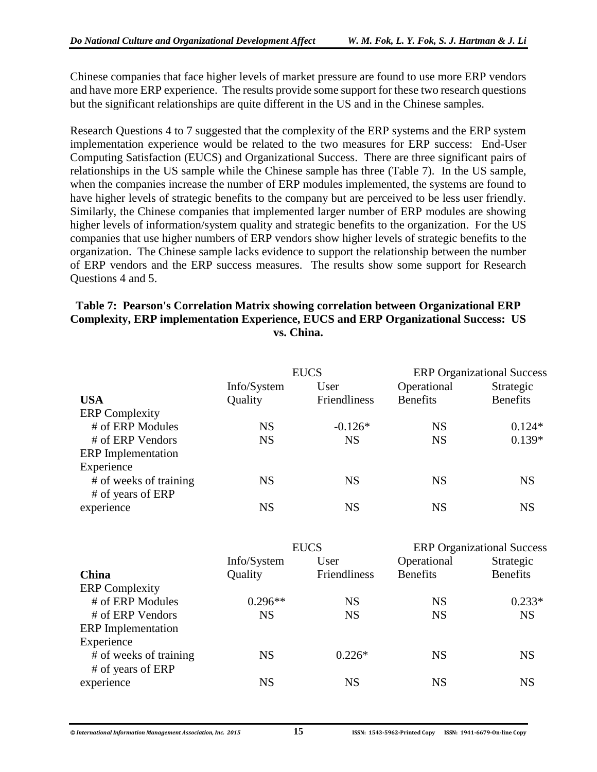Chinese companies that face higher levels of market pressure are found to use more ERP vendors and have more ERP experience. The results provide some support for these two research questions but the significant relationships are quite different in the US and in the Chinese samples.

Research Questions 4 to 7 suggested that the complexity of the ERP systems and the ERP system implementation experience would be related to the two measures for ERP success: End-User Computing Satisfaction (EUCS) and Organizational Success. There are three significant pairs of relationships in the US sample while the Chinese sample has three (Table 7). In the US sample, when the companies increase the number of ERP modules implemented, the systems are found to have higher levels of strategic benefits to the company but are perceived to be less user friendly. Similarly, the Chinese companies that implemented larger number of ERP modules are showing higher levels of information/system quality and strategic benefits to the organization. For the US companies that use higher numbers of ERP vendors show higher levels of strategic benefits to the organization. The Chinese sample lacks evidence to support the relationship between the number of ERP vendors and the ERP success measures. The results show some support for Research Questions 4 and 5.

#### **Table 7: Pearson's Correlation Matrix showing correlation between Organizational ERP Complexity, ERP implementation Experience, EUCS and ERP Organizational Success: US vs. China.**

|                           | <b>EUCS</b> |              | <b>ERP</b> Organizational Success |                 |
|---------------------------|-------------|--------------|-----------------------------------|-----------------|
|                           | Info/System | User         | Operational                       | Strategic       |
| <b>USA</b>                | Quality     | Friendliness | <b>Benefits</b>                   | <b>Benefits</b> |
| <b>ERP</b> Complexity     |             |              |                                   |                 |
| # of ERP Modules          | <b>NS</b>   | $-0.126*$    | <b>NS</b>                         | $0.124*$        |
| # of ERP Vendors          | <b>NS</b>   | <b>NS</b>    | <b>NS</b>                         | $0.139*$        |
| <b>ERP</b> Implementation |             |              |                                   |                 |
| Experience                |             |              |                                   |                 |
| # of weeks of training    | <b>NS</b>   | <b>NS</b>    | <b>NS</b>                         | <b>NS</b>       |
| # of years of ERP         |             |              |                                   |                 |
| experience                | NS          | NS           | NS                                | NS              |

|                           | <b>EUCS</b> |              | <b>ERP</b> Organizational Success |                 |
|---------------------------|-------------|--------------|-----------------------------------|-----------------|
|                           | Info/System | User         | Operational                       | Strategic       |
| China                     | Quality     | Friendliness | <b>Benefits</b>                   | <b>Benefits</b> |
| <b>ERP</b> Complexity     |             |              |                                   |                 |
| # of ERP Modules          | $0.296**$   | <b>NS</b>    | <b>NS</b>                         | $0.233*$        |
| # of ERP Vendors          | <b>NS</b>   | <b>NS</b>    | <b>NS</b>                         | <b>NS</b>       |
| <b>ERP</b> Implementation |             |              |                                   |                 |
| Experience                |             |              |                                   |                 |
| # of weeks of training    | <b>NS</b>   | $0.226*$     | <b>NS</b>                         | <b>NS</b>       |
| # of years of ERP         |             |              |                                   |                 |
| experience                | NS          | <b>NS</b>    | <b>NS</b>                         | <b>NS</b>       |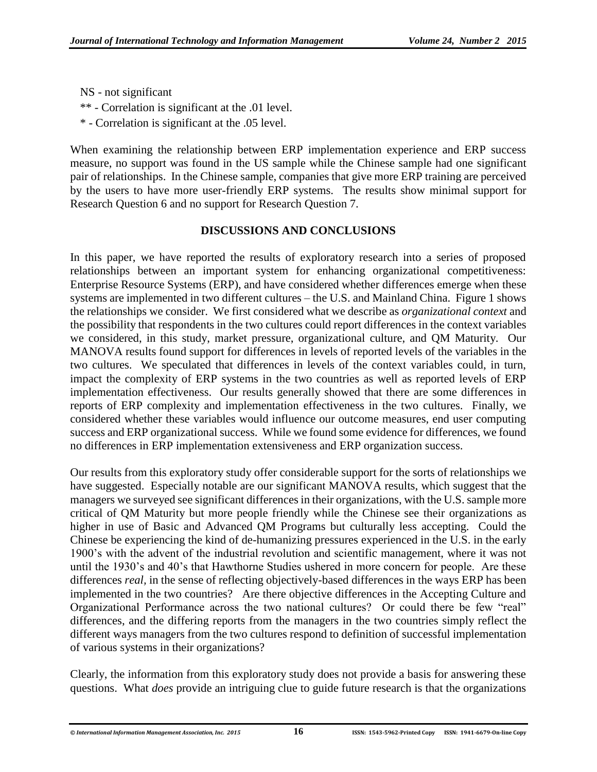- NS not significant
- \*\* Correlation is significant at the .01 level.
- \* Correlation is significant at the .05 level.

When examining the relationship between ERP implementation experience and ERP success measure, no support was found in the US sample while the Chinese sample had one significant pair of relationships. In the Chinese sample, companies that give more ERP training are perceived by the users to have more user-friendly ERP systems. The results show minimal support for Research Question 6 and no support for Research Question 7.

#### **DISCUSSIONS AND CONCLUSIONS**

In this paper, we have reported the results of exploratory research into a series of proposed relationships between an important system for enhancing organizational competitiveness: Enterprise Resource Systems (ERP), and have considered whether differences emerge when these systems are implemented in two different cultures – the U.S. and Mainland China. Figure 1 shows the relationships we consider. We first considered what we describe as *organizational context* and the possibility that respondents in the two cultures could report differences in the context variables we considered, in this study, market pressure, organizational culture, and QM Maturity. Our MANOVA results found support for differences in levels of reported levels of the variables in the two cultures. We speculated that differences in levels of the context variables could, in turn, impact the complexity of ERP systems in the two countries as well as reported levels of ERP implementation effectiveness. Our results generally showed that there are some differences in reports of ERP complexity and implementation effectiveness in the two cultures. Finally, we considered whether these variables would influence our outcome measures, end user computing success and ERP organizational success. While we found some evidence for differences, we found no differences in ERP implementation extensiveness and ERP organization success.

Our results from this exploratory study offer considerable support for the sorts of relationships we have suggested. Especially notable are our significant MANOVA results, which suggest that the managers we surveyed see significant differences in their organizations, with the U.S. sample more critical of QM Maturity but more people friendly while the Chinese see their organizations as higher in use of Basic and Advanced QM Programs but culturally less accepting. Could the Chinese be experiencing the kind of de-humanizing pressures experienced in the U.S. in the early 1900's with the advent of the industrial revolution and scientific management, where it was not until the 1930's and 40's that Hawthorne Studies ushered in more concern for people. Are these differences *real,* in the sense of reflecting objectively-based differences in the ways ERP has been implemented in the two countries? Are there objective differences in the Accepting Culture and Organizational Performance across the two national cultures? Or could there be few "real" differences, and the differing reports from the managers in the two countries simply reflect the different ways managers from the two cultures respond to definition of successful implementation of various systems in their organizations?

Clearly, the information from this exploratory study does not provide a basis for answering these questions. What *does* provide an intriguing clue to guide future research is that the organizations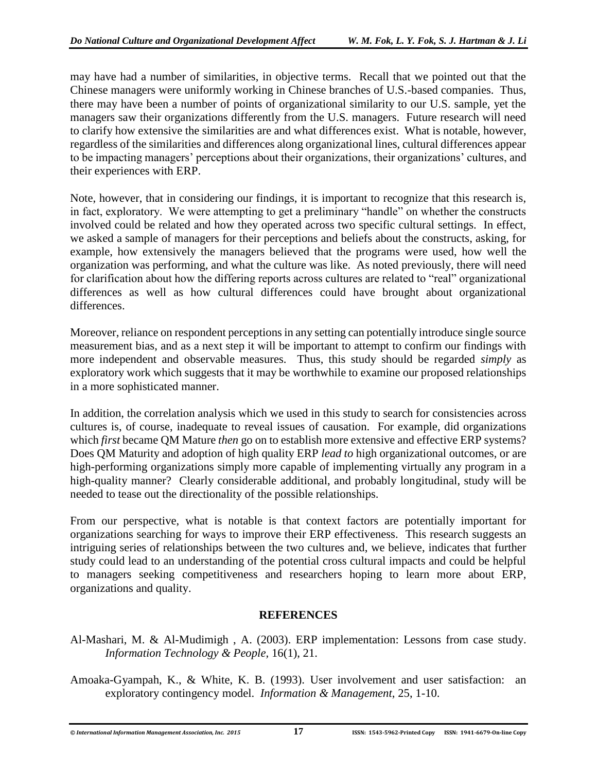may have had a number of similarities, in objective terms. Recall that we pointed out that the Chinese managers were uniformly working in Chinese branches of U.S.-based companies. Thus, there may have been a number of points of organizational similarity to our U.S. sample, yet the managers saw their organizations differently from the U.S. managers. Future research will need to clarify how extensive the similarities are and what differences exist. What is notable, however, regardless of the similarities and differences along organizational lines, cultural differences appear to be impacting managers' perceptions about their organizations, their organizations' cultures, and their experiences with ERP.

Note, however, that in considering our findings, it is important to recognize that this research is, in fact, exploratory. We were attempting to get a preliminary "handle" on whether the constructs involved could be related and how they operated across two specific cultural settings. In effect, we asked a sample of managers for their perceptions and beliefs about the constructs, asking, for example, how extensively the managers believed that the programs were used, how well the organization was performing, and what the culture was like. As noted previously, there will need for clarification about how the differing reports across cultures are related to "real" organizational differences as well as how cultural differences could have brought about organizational differences.

Moreover, reliance on respondent perceptions in any setting can potentially introduce single source measurement bias, and as a next step it will be important to attempt to confirm our findings with more independent and observable measures. Thus, this study should be regarded *simply* as exploratory work which suggests that it may be worthwhile to examine our proposed relationships in a more sophisticated manner.

In addition, the correlation analysis which we used in this study to search for consistencies across cultures is, of course, inadequate to reveal issues of causation. For example, did organizations which *first* became OM Mature *then* go on to establish more extensive and effective ERP systems? Does QM Maturity and adoption of high quality ERP *lead to* high organizational outcomes, or are high-performing organizations simply more capable of implementing virtually any program in a high-quality manner? Clearly considerable additional, and probably longitudinal, study will be needed to tease out the directionality of the possible relationships.

From our perspective, what is notable is that context factors are potentially important for organizations searching for ways to improve their ERP effectiveness. This research suggests an intriguing series of relationships between the two cultures and, we believe, indicates that further study could lead to an understanding of the potential cross cultural impacts and could be helpful to managers seeking competitiveness and researchers hoping to learn more about ERP, organizations and quality.

# **REFERENCES**

- Al-Mashari, M. & Al-Mudimigh , A. (2003). ERP implementation: Lessons from case study. *Information Technology & People,* 16(1), 21.
- Amoaka-Gyampah, K., & White, K. B. (1993). User involvement and user satisfaction: an exploratory contingency model. *Information & Management*, 25, 1-10.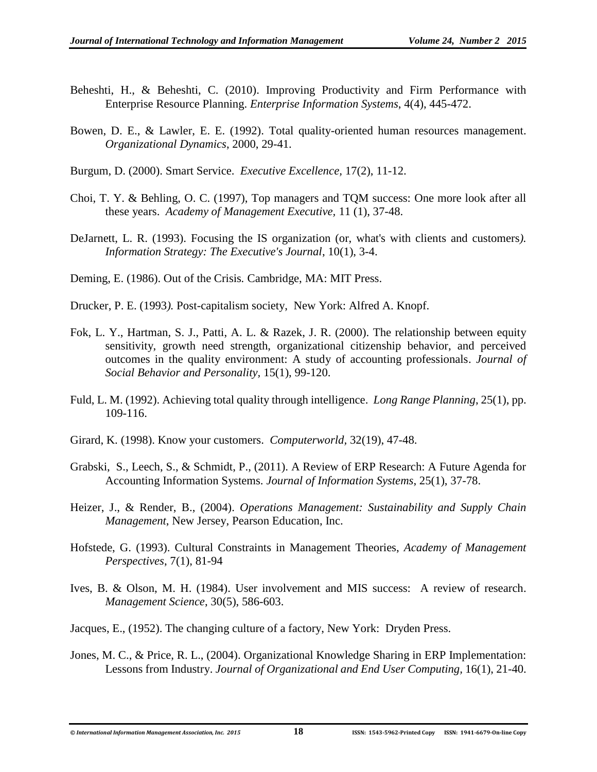- Beheshti, H., & Beheshti, C. (2010). Improving Productivity and Firm Performance with Enterprise Resource Planning. *Enterprise Information Systems*, 4(4), 445-472.
- Bowen, D. E., & Lawler, E. E. (1992). Total quality-oriented human resources management. *Organizational Dynamics*, 2000, 29-41.
- Burgum, D. (2000). Smart Service. *Executive Excellence,* 17(2), 11-12.
- Choi, T. Y. & Behling, O. C. (1997), Top managers and TQM success: One more look after all these years. *Academy of Management Executive,* 11 (1), 37-48.
- DeJarnett, L. R. (1993). Focusing the IS organization (or, what's with clients and customers*). Information Strategy: The Executive's Journal*, 10(1), 3-4.
- Deming, E. (1986). Out of the Crisis*.* Cambridge, MA: MIT Press.
- Drucker, P. E. (1993*).* Post-capitalism society, New York: Alfred A. Knopf.
- Fok, L. Y., Hartman, S. J., Patti, A. L. & Razek, J. R. (2000). The relationship between equity sensitivity, growth need strength, organizational citizenship behavior, and perceived outcomes in the quality environment: A study of accounting professionals. *Journal of Social Behavior and Personality,* 15(1), 99-120.
- Fuld, L. M. (1992). Achieving total quality through intelligence. *Long Range Planning*, 25(1), pp. 109-116.
- Girard, K. (1998). Know your customers. *Computerworld,* 32(19), 47-48.
- Grabski, S., Leech, S., & Schmidt, P., (2011). A Review of ERP Research: A Future Agenda for Accounting Information Systems. *Journal of Information Systems*, 25(1), 37-78.
- Heizer, J., & Render, B., (2004). *Operations Management: Sustainability and Supply Chain Management*, New Jersey, Pearson Education, Inc.
- Hofstede, G. (1993). Cultural Constraints in Management Theories, *Academy of Management Perspectives*, 7(1), 81-94
- Ives, B. & Olson, M. H. (1984). User involvement and MIS success: A review of research. *Management Science*, 30(5), 586-603.
- Jacques, E., (1952). The changing culture of a factory, New York: Dryden Press.
- Jones, M. C., & Price, R. L., (2004). Organizational Knowledge Sharing in ERP Implementation: Lessons from Industry. *Journal of Organizational and End User Computing,* 16(1), 21-40.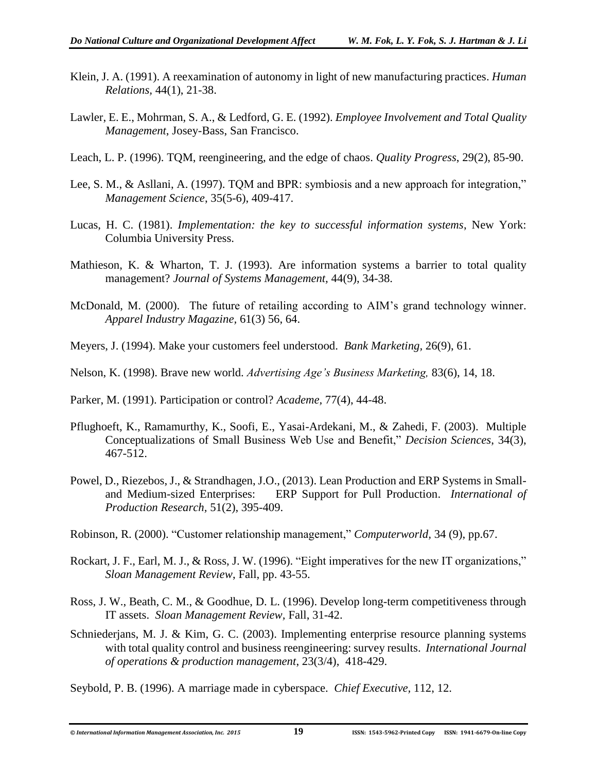- Klein, J. A. (1991). A reexamination of autonomy in light of new manufacturing practices. *Human Relations,* 44(1), 21-38.
- Lawler, E. E., Mohrman, S. A., & Ledford, G. E. (1992). *Employee Involvement and Total Quality Management*, Josey-Bass, San Francisco.
- Leach, L. P. (1996). TQM, reengineering, and the edge of chaos. *Quality Progress*, 29(2), 85-90.
- Lee, S. M., & Asllani, A. (1997). TQM and BPR: symbiosis and a new approach for integration," *Management Science*, 35(5-6), 409-417.
- Lucas, H. C. (1981). *Implementation: the key to successful information systems*, New York: Columbia University Press.
- Mathieson, K. & Wharton, T. J. (1993). Are information systems a barrier to total quality management? *Journal of Systems Management,* 44(9), 34-38.
- McDonald, M. (2000). The future of retailing according to AIM's grand technology winner. *Apparel Industry Magazine,* 61(3) 56, 64.
- Meyers, J. (1994). Make your customers feel understood. *Bank Marketing,* 26(9), 61.
- Nelson, K. (1998). Brave new world. *Advertising Age's Business Marketing,* 83(6), 14, 18.
- Parker, M. (1991). Participation or control? *Academe,* 77(4), 44-48.
- Pflughoeft, K., Ramamurthy, K., Soofi, E., Yasai-Ardekani, M., & Zahedi, F. (2003). Multiple Conceptualizations of Small Business Web Use and Benefit," *Decision Sciences*, 34(3), 467-512.
- Powel, D., Riezebos, J., & Strandhagen, J.O., (2013). Lean Production and ERP Systems in Smalland Medium-sized Enterprises: ERP Support for Pull Production. *International of Production Research,* 51(2), 395-409.
- Robinson, R. (2000). "Customer relationship management," *Computerworld,* 34 (9), pp.67.
- Rockart, J. F., Earl, M. J., & Ross, J. W. (1996). "Eight imperatives for the new IT organizations," *Sloan Management Review*, Fall, pp. 43-55.
- Ross, J. W., Beath, C. M., & Goodhue, D. L. (1996). Develop long-term competitiveness through IT assets. *Sloan Management Review,* Fall, 31-42.
- Schniederjans, M. J. & Kim, G. C. (2003). Implementing enterprise resource planning systems with total quality control and business reengineering: survey results. *International Journal of operations & production management*, 23(3/4), 418-429.

Seybold, P. B. (1996). A marriage made in cyberspace. *Chief Executive,* 112, 12.